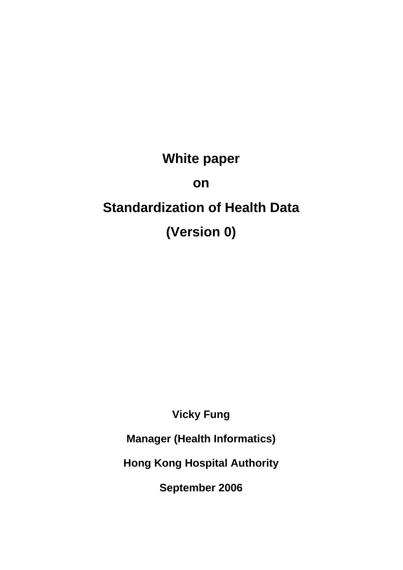**White paper on Standardization of Health Data (Version 0)** 

**Vicky Fung** 

**Manager (Health Informatics)** 

**Hong Kong Hospital Authority** 

**September 2006**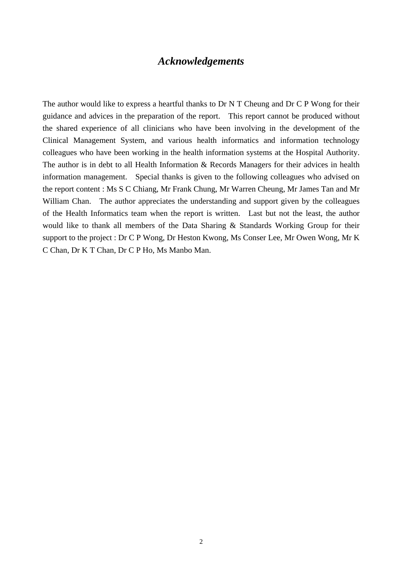## *Acknowledgements*

The author would like to express a heartful thanks to Dr N T Cheung and Dr C P Wong for their guidance and advices in the preparation of the report. This report cannot be produced without the shared experience of all clinicians who have been involving in the development of the Clinical Management System, and various health informatics and information technology colleagues who have been working in the health information systems at the Hospital Authority. The author is in debt to all Health Information & Records Managers for their advices in health information management. Special thanks is given to the following colleagues who advised on the report content : Ms S C Chiang, Mr Frank Chung, Mr Warren Cheung, Mr James Tan and Mr William Chan. The author appreciates the understanding and support given by the colleagues of the Health Informatics team when the report is written. Last but not the least, the author would like to thank all members of the Data Sharing & Standards Working Group for their support to the project : Dr C P Wong, Dr Heston Kwong, Ms Conser Lee, Mr Owen Wong, Mr K C Chan, Dr K T Chan, Dr C P Ho, Ms Manbo Man.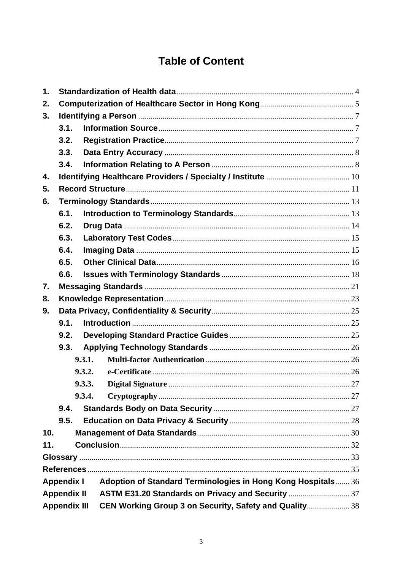# **Table of Content**

| $\mathbf 1$ .                                                                     |      |        |                                                        |  |  |
|-----------------------------------------------------------------------------------|------|--------|--------------------------------------------------------|--|--|
| 2.                                                                                |      |        |                                                        |  |  |
| 3.                                                                                |      |        |                                                        |  |  |
|                                                                                   | 3.1. |        |                                                        |  |  |
|                                                                                   | 3.2. |        |                                                        |  |  |
|                                                                                   | 3.3. |        |                                                        |  |  |
|                                                                                   | 3.4. |        |                                                        |  |  |
| 4.                                                                                |      |        |                                                        |  |  |
| 5.                                                                                |      |        |                                                        |  |  |
| 6.                                                                                |      |        |                                                        |  |  |
|                                                                                   | 6.1. |        |                                                        |  |  |
|                                                                                   | 6.2. |        |                                                        |  |  |
|                                                                                   | 6.3. |        |                                                        |  |  |
|                                                                                   | 6.4. |        |                                                        |  |  |
|                                                                                   | 6.5. |        |                                                        |  |  |
|                                                                                   | 6.6. |        |                                                        |  |  |
| 7.                                                                                |      |        |                                                        |  |  |
| 8.                                                                                |      |        |                                                        |  |  |
| 9.                                                                                |      |        |                                                        |  |  |
|                                                                                   | 9.1. |        |                                                        |  |  |
|                                                                                   | 9.2. |        |                                                        |  |  |
|                                                                                   | 9.3. |        |                                                        |  |  |
|                                                                                   |      | 9.3.1. |                                                        |  |  |
|                                                                                   |      | 9.3.2. |                                                        |  |  |
|                                                                                   |      | 9.3.3. |                                                        |  |  |
|                                                                                   |      | 9.3.4. |                                                        |  |  |
|                                                                                   | 9.4. |        |                                                        |  |  |
|                                                                                   | 9.5. |        |                                                        |  |  |
| 10.                                                                               |      |        |                                                        |  |  |
| 11.                                                                               |      |        |                                                        |  |  |
|                                                                                   |      |        |                                                        |  |  |
|                                                                                   |      |        |                                                        |  |  |
| Adoption of Standard Terminologies in Hong Kong Hospitals 36<br><b>Appendix I</b> |      |        |                                                        |  |  |
| <b>Appendix II</b>                                                                |      |        |                                                        |  |  |
| <b>Appendix III</b>                                                               |      |        | CEN Working Group 3 on Security, Safety and Quality 38 |  |  |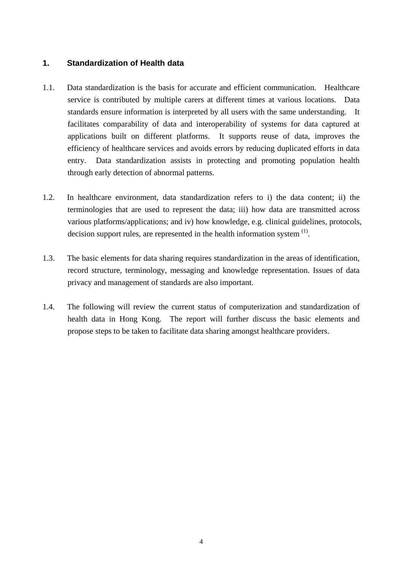## <span id="page-3-0"></span>**1. Standardization of Health data**

- 1.1. Data standardization is the basis for accurate and efficient communication. Healthcare service is contributed by multiple carers at different times at various locations. Data standards ensure information is interpreted by all users with the same understanding. It facilitates comparability of data and interoperability of systems for data captured at applications built on different platforms. It supports reuse of data, improves the efficiency of healthcare services and avoids errors by reducing duplicated efforts in data entry. Data standardization assists in protecting and promoting population health through early detection of abnormal patterns.
- 1.2. In healthcare environment, data standardization refers to i) the data content; ii) the terminologies that are used to represent the data; iii) how data are transmitted across various platforms/applications; and iv) how knowledge, e.g. clinical guidelines, protocols, decision support rules, are represented in the health information system  $<sup>(1)</sup>$ .</sup>
- 1.3. The basic elements for data sharing requires standardization in the areas of identification, record structure, terminology, messaging and knowledge representation. Issues of data privacy and management of standards are also important.
- 1.4. The following will review the current status of computerization and standardization of health data in Hong Kong. The report will further discuss the basic elements and propose steps to be taken to facilitate data sharing amongst healthcare providers.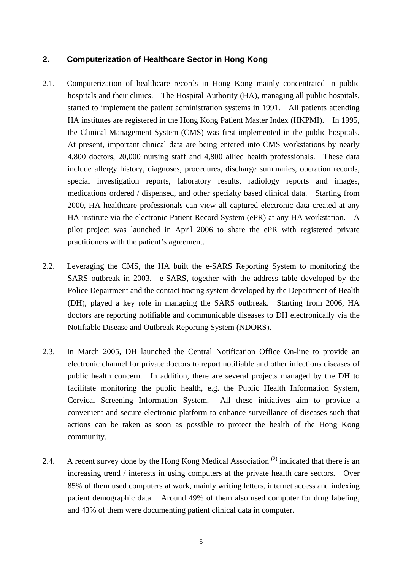## <span id="page-4-0"></span>**2. Computerization of Healthcare Sector in Hong Kong**

- 2.1. Computerization of healthcare records in Hong Kong mainly concentrated in public hospitals and their clinics. The Hospital Authority (HA), managing all public hospitals, started to implement the patient administration systems in 1991. All patients attending HA institutes are registered in the Hong Kong Patient Master Index (HKPMI). In 1995, the Clinical Management System (CMS) was first implemented in the public hospitals. At present, important clinical data are being entered into CMS workstations by nearly 4,800 doctors, 20,000 nursing staff and 4,800 allied health professionals. These data include allergy history, diagnoses, procedures, discharge summaries, operation records, special investigation reports, laboratory results, radiology reports and images, medications ordered / dispensed, and other specialty based clinical data. Starting from 2000, HA healthcare professionals can view all captured electronic data created at any HA institute via the electronic Patient Record System (ePR) at any HA workstation. A pilot project was launched in April 2006 to share the ePR with registered private practitioners with the patient's agreement.
- 2.2. Leveraging the CMS, the HA built the e-SARS Reporting System to monitoring the SARS outbreak in 2003. e-SARS, together with the address table developed by the Police Department and the contact tracing system developed by the Department of Health (DH), played a key role in managing the SARS outbreak. Starting from 2006, HA doctors are reporting notifiable and communicable diseases to DH electronically via the Notifiable Disease and Outbreak Reporting System (NDORS).
- 2.3. In March 2005, DH launched the Central Notification Office On-line to provide an electronic channel for private doctors to report notifiable and other infectious diseases of public health concern. In addition, there are several projects managed by the DH to facilitate monitoring the public health, e.g. the Public Health Information System, Cervical Screening Information System. All these initiatives aim to provide a convenient and secure electronic platform to enhance surveillance of diseases such that actions can be taken as soon as possible to protect the health of the Hong Kong community.
- 2.4. A recent survey done by the Hong Kong Medical Association<sup>(2)</sup> indicated that there is an increasing trend / interests in using computers at the private health care sectors. Over 85% of them used computers at work, mainly writing letters, internet access and indexing patient demographic data. Around 49% of them also used computer for drug labeling, and 43% of them were documenting patient clinical data in computer.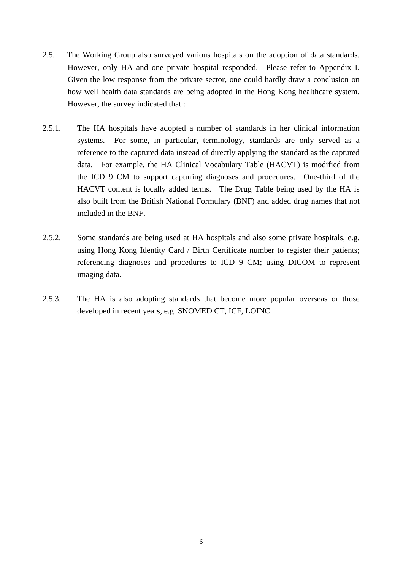- 2.5. The Working Group also surveyed various hospitals on the adoption of data standards. However, only HA and one private hospital responded. Please refer to Appendix I. Given the low response from the private sector, one could hardly draw a conclusion on how well health data standards are being adopted in the Hong Kong healthcare system. However, the survey indicated that :
- 2.5.1. The HA hospitals have adopted a number of standards in her clinical information systems. For some, in particular, terminology, standards are only served as a reference to the captured data instead of directly applying the standard as the captured data. For example, the HA Clinical Vocabulary Table (HACVT) is modified from the ICD 9 CM to support capturing diagnoses and procedures. One-third of the HACVT content is locally added terms. The Drug Table being used by the HA is also built from the British National Formulary (BNF) and added drug names that not included in the BNF.
- 2.5.2. Some standards are being used at HA hospitals and also some private hospitals, e.g. using Hong Kong Identity Card / Birth Certificate number to register their patients; referencing diagnoses and procedures to ICD 9 CM; using DICOM to represent imaging data.
- 2.5.3. The HA is also adopting standards that become more popular overseas or those developed in recent years, e.g. SNOMED CT, ICF, LOINC.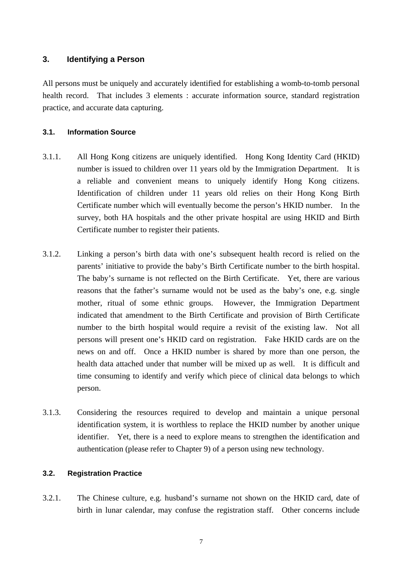## <span id="page-6-0"></span>**3. Identifying a Person**

All persons must be uniquely and accurately identified for establishing a womb-to-tomb personal health record. That includes 3 elements : accurate information source, standard registration practice, and accurate data capturing.

#### **3.1. Information Source**

- 3.1.1. All Hong Kong citizens are uniquely identified. Hong Kong Identity Card (HKID) number is issued to children over 11 years old by the Immigration Department. It is a reliable and convenient means to uniquely identify Hong Kong citizens. Identification of children under 11 years old relies on their Hong Kong Birth Certificate number which will eventually become the person's HKID number. In the survey, both HA hospitals and the other private hospital are using HKID and Birth Certificate number to register their patients.
- 3.1.2. Linking a person's birth data with one's subsequent health record is relied on the parents' initiative to provide the baby's Birth Certificate number to the birth hospital. The baby's surname is not reflected on the Birth Certificate. Yet, there are various reasons that the father's surname would not be used as the baby's one, e.g. single mother, ritual of some ethnic groups. However, the Immigration Department indicated that amendment to the Birth Certificate and provision of Birth Certificate number to the birth hospital would require a revisit of the existing law. Not all persons will present one's HKID card on registration. Fake HKID cards are on the news on and off. Once a HKID number is shared by more than one person, the health data attached under that number will be mixed up as well. It is difficult and time consuming to identify and verify which piece of clinical data belongs to which person.
- 3.1.3. Considering the resources required to develop and maintain a unique personal identification system, it is worthless to replace the HKID number by another unique identifier. Yet, there is a need to explore means to strengthen the identification and authentication (please refer to Chapter 9) of a person using new technology.

#### **3.2. Registration Practice**

3.2.1. The Chinese culture, e.g. husband's surname not shown on the HKID card, date of birth in lunar calendar, may confuse the registration staff. Other concerns include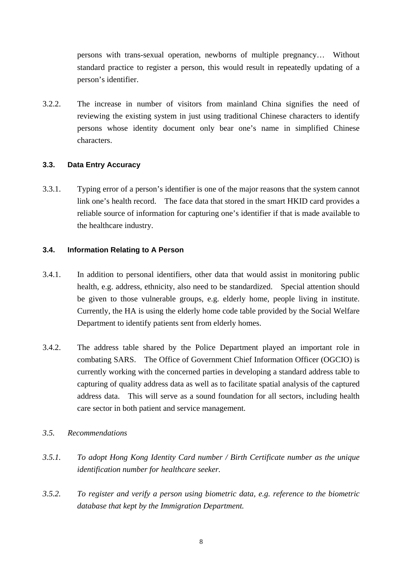<span id="page-7-0"></span>persons with trans-sexual operation, newborns of multiple pregnancy… Without standard practice to register a person, this would result in repeatedly updating of a person's identifier.

3.2.2. The increase in number of visitors from mainland China signifies the need of reviewing the existing system in just using traditional Chinese characters to identify persons whose identity document only bear one's name in simplified Chinese characters.

## **3.3. Data Entry Accuracy**

3.3.1. Typing error of a person's identifier is one of the major reasons that the system cannot link one's health record. The face data that stored in the smart HKID card provides a reliable source of information for capturing one's identifier if that is made available to the healthcare industry.

### **3.4. Information Relating to A Person**

- 3.4.1. In addition to personal identifiers, other data that would assist in monitoring public health, e.g. address, ethnicity, also need to be standardized. Special attention should be given to those vulnerable groups, e.g. elderly home, people living in institute. Currently, the HA is using the elderly home code table provided by the Social Welfare Department to identify patients sent from elderly homes.
- 3.4.2. The address table shared by the Police Department played an important role in combating SARS. The Office of Government Chief Information Officer (OGCIO) is currently working with the concerned parties in developing a standard address table to capturing of quality address data as well as to facilitate spatial analysis of the captured address data. This will serve as a sound foundation for all sectors, including health care sector in both patient and service management.
- *3.5. Recommendations*
- *3.5.1. To adopt Hong Kong Identity Card number / Birth Certificate number as the unique identification number for healthcare seeker.*
- *3.5.2. To register and verify a person using biometric data, e.g. reference to the biometric database that kept by the Immigration Department.*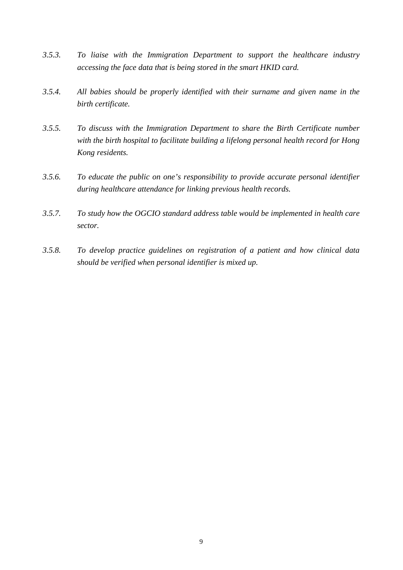- *3.5.3. To liaise with the Immigration Department to support the healthcare industry accessing the face data that is being stored in the smart HKID card.*
- *3.5.4. All babies should be properly identified with their surname and given name in the birth certificate.*
- *3.5.5. To discuss with the Immigration Department to share the Birth Certificate number with the birth hospital to facilitate building a lifelong personal health record for Hong Kong residents.*
- *3.5.6. To educate the public on one's responsibility to provide accurate personal identifier during healthcare attendance for linking previous health records.*
- *3.5.7. To study how the OGCIO standard address table would be implemented in health care sector.*
- *3.5.8. To develop practice guidelines on registration of a patient and how clinical data should be verified when personal identifier is mixed up.*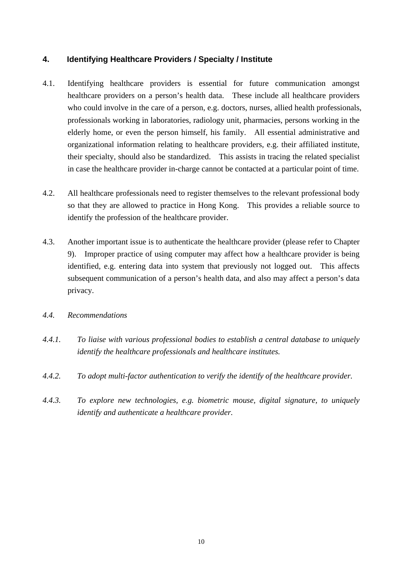## <span id="page-9-0"></span>**4. Identifying Healthcare Providers / Specialty / Institute**

- 4.1. Identifying healthcare providers is essential for future communication amongst healthcare providers on a person's health data. These include all healthcare providers who could involve in the care of a person, e.g. doctors, nurses, allied health professionals, professionals working in laboratories, radiology unit, pharmacies, persons working in the elderly home, or even the person himself, his family. All essential administrative and organizational information relating to healthcare providers, e.g. their affiliated institute, their specialty, should also be standardized. This assists in tracing the related specialist in case the healthcare provider in-charge cannot be contacted at a particular point of time.
- 4.2. All healthcare professionals need to register themselves to the relevant professional body so that they are allowed to practice in Hong Kong. This provides a reliable source to identify the profession of the healthcare provider.
- 4.3. Another important issue is to authenticate the healthcare provider (please refer to Chapter 9). Improper practice of using computer may affect how a healthcare provider is being identified, e.g. entering data into system that previously not logged out. This affects subsequent communication of a person's health data, and also may affect a person's data privacy.
- *4.4. Recommendations*
- *4.4.1. To liaise with various professional bodies to establish a central database to uniquely identify the healthcare professionals and healthcare institutes.*
- *4.4.2. To adopt multi-factor authentication to verify the identify of the healthcare provider.*
- *4.4.3. To explore new technologies, e.g. biometric mouse, digital signature, to uniquely identify and authenticate a healthcare provider.*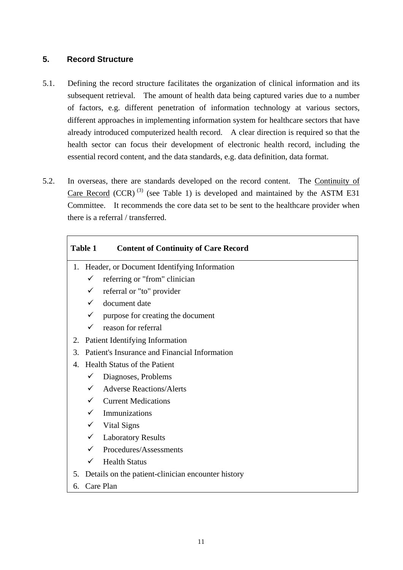## <span id="page-10-0"></span>**5. Record Structure**

- 5.1. Defining the record structure facilitates the organization of clinical information and its subsequent retrieval. The amount of health data being captured varies due to a number of factors, e.g. different penetration of information technology at various sectors, different approaches in implementing information system for healthcare sectors that have already introduced computerized health record. A clear direction is required so that the health sector can focus their development of electronic health record, including the essential record content, and the data standards, e.g. data definition, data format.
- 5.2. In overseas, there are standards developed on the record content. The Continuity of Care Record (CCR)<sup>(3)</sup> (see Table 1) is developed and maintained by the ASTM E31 Committee. It recommends the core data set to be sent to the healthcare provider when there is a referral / transferred.

| <b>Table 1</b> |              | <b>Content of Continuity of Care Record</b>        |  |  |
|----------------|--------------|----------------------------------------------------|--|--|
| 1.             |              | Header, or Document Identifying Information        |  |  |
|                | ✓            | referring or "from" clinician                      |  |  |
|                |              | referral or "to" provider                          |  |  |
|                |              | document date                                      |  |  |
|                | ✓            | purpose for creating the document                  |  |  |
|                | $\checkmark$ | reason for referral                                |  |  |
| 2.             |              | Patient Identifying Information                    |  |  |
| 3.             |              | Patient's Insurance and Financial Information      |  |  |
| 4.             |              | <b>Health Status of the Patient</b>                |  |  |
|                | $\checkmark$ | Diagnoses, Problems                                |  |  |
|                | $\checkmark$ | <b>Adverse Reactions/Alerts</b>                    |  |  |
|                |              | <b>Current Medications</b>                         |  |  |
|                |              | Immunizations                                      |  |  |
|                | $\checkmark$ | Vital Signs                                        |  |  |
|                | $\checkmark$ | <b>Laboratory Results</b>                          |  |  |
|                | $\checkmark$ | Procedures/Assessments                             |  |  |
|                | $\checkmark$ | <b>Health Status</b>                               |  |  |
| 5.             |              | Details on the patient-clinician encounter history |  |  |
| 6.             | Care Plan    |                                                    |  |  |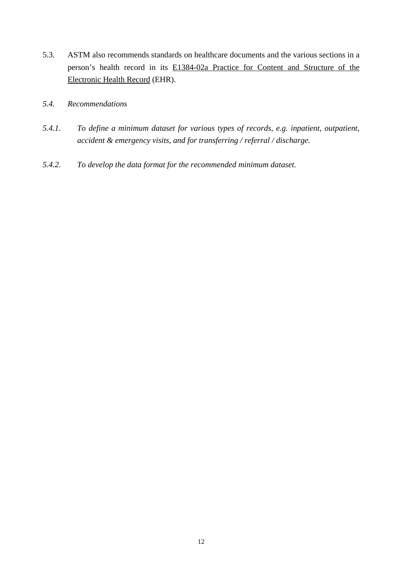- 5.3. ASTM also recommends standards on healthcare documents and the various sections in a person's health record in its E1384-02a Practice for Content and Structure of the Electronic Health Record (EHR).
- *5.4. Recommendations*
- *5.4.1. To define a minimum dataset for various types of records, e.g. inpatient, outpatient, accident & emergency visits, and for transferring / referral / discharge.*
- *5.4.2. To develop the data format for the recommended minimum dataset.*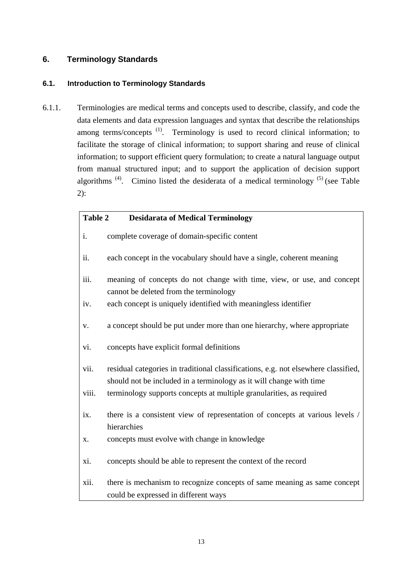## <span id="page-12-0"></span>**6. Terminology Standards**

## **6.1. Introduction to Terminology Standards**

6.1.1. Terminologies are medical terms and concepts used to describe, classify, and code the data elements and data expression languages and syntax that describe the relationships among terms/concepts  $(1)$ . Terminology is used to record clinical information; to facilitate the storage of clinical information; to support sharing and reuse of clinical information; to support efficient query formulation; to create a natural language output from manual structured input; and to support the application of decision support algorithms<sup>(4)</sup>. Cimino listed the desiderata of a medical terminology<sup>(5)</sup> (see Table 2):

| <b>Table 2</b><br><b>Desidarata of Medical Terminology</b> |                                                                                                                                                           |  |
|------------------------------------------------------------|-----------------------------------------------------------------------------------------------------------------------------------------------------------|--|
| i.                                                         | complete coverage of domain-specific content                                                                                                              |  |
| ii.                                                        | each concept in the vocabulary should have a single, coherent meaning                                                                                     |  |
| iii.                                                       | meaning of concepts do not change with time, view, or use, and concept<br>cannot be deleted from the terminology                                          |  |
| iv.                                                        | each concept is uniquely identified with meaningless identifier                                                                                           |  |
| V.                                                         | a concept should be put under more than one hierarchy, where appropriate                                                                                  |  |
| vi.                                                        | concepts have explicit formal definitions                                                                                                                 |  |
| vii.                                                       | residual categories in traditional classifications, e.g. not elsewhere classified,<br>should not be included in a terminology as it will change with time |  |
| viii.                                                      | terminology supports concepts at multiple granularities, as required                                                                                      |  |
| ix.                                                        | there is a consistent view of representation of concepts at various levels /<br>hierarchies                                                               |  |
| X.                                                         | concepts must evolve with change in knowledge                                                                                                             |  |
| xi.                                                        | concepts should be able to represent the context of the record                                                                                            |  |
| xii.                                                       | there is mechanism to recognize concepts of same meaning as same concept<br>could be expressed in different ways                                          |  |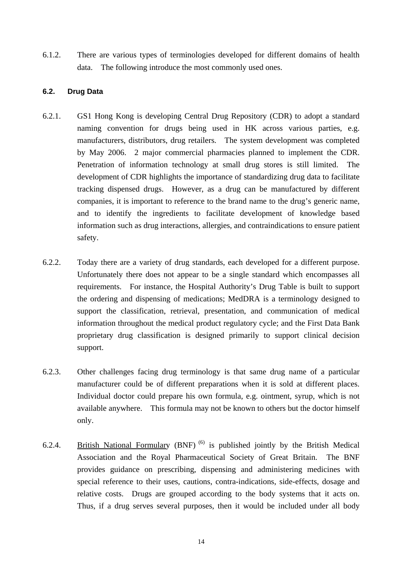<span id="page-13-0"></span>6.1.2. There are various types of terminologies developed for different domains of health data. The following introduce the most commonly used ones.

## **6.2. Drug Data**

- 6.2.1. GS1 Hong Kong is developing Central Drug Repository (CDR) to adopt a standard naming convention for drugs being used in HK across various parties, e.g. manufacturers, distributors, drug retailers. The system development was completed by May 2006. 2 major commercial pharmacies planned to implement the CDR. Penetration of information technology at small drug stores is still limited. The development of CDR highlights the importance of standardizing drug data to facilitate tracking dispensed drugs. However, as a drug can be manufactured by different companies, it is important to reference to the brand name to the drug's generic name, and to identify the ingredients to facilitate development of knowledge based information such as drug interactions, allergies, and contraindications to ensure patient safety.
- 6.2.2. Today there are a variety of drug standards, each developed for a different purpose. Unfortunately there does not appear to be a single standard which encompasses all requirements. For instance, the Hospital Authority's Drug Table is built to support the ordering and dispensing of medications; MedDRA is a terminology designed to support the classification, retrieval, presentation, and communication of medical information throughout the medical product regulatory cycle; and the First Data Bank proprietary drug classification is designed primarily to support clinical decision support.
- 6.2.3. Other challenges facing drug terminology is that same drug name of a particular manufacturer could be of different preparations when it is sold at different places. Individual doctor could prepare his own formula, e.g. ointment, syrup, which is not available anywhere. This formula may not be known to others but the doctor himself only.
- 6.2.4. British National Formulary (BNF)<sup>(6)</sup> is published jointly by the British Medical Association and the Royal Pharmaceutical Society of Great Britain. The BNF provides guidance on prescribing, dispensing and administering medicines with special reference to their uses, cautions, contra-indications, side-effects, dosage and relative costs. Drugs are grouped according to the body systems that it acts on. Thus, if a drug serves several purposes, then it would be included under all body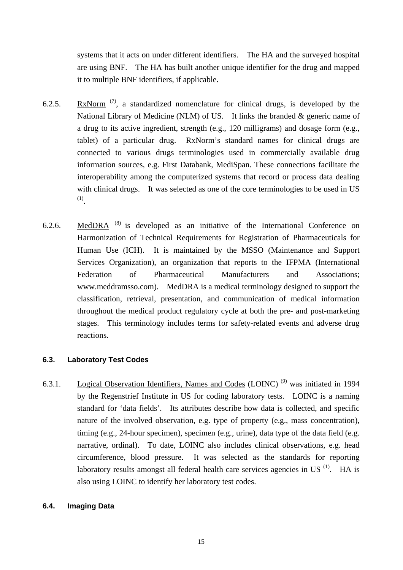<span id="page-14-0"></span>systems that it acts on under different identifiers. The HA and the surveyed hospital are using BNF. The HA has built another unique identifier for the drug and mapped it to multiple BNF identifiers, if applicable.

- 6.2.5. RxNorm  $(7)$ , a standardized nomenclature for clinical drugs, is developed by the National Library of Medicine (NLM) of US. It links the branded & generic name of a drug to its active ingredient, strength (e.g., 120 milligrams) and dosage form (e.g., tablet) of a particular drug. RxNorm's standard names for clinical drugs are connected to various drugs terminologies used in commercially available drug information sources, e.g. First Databank, MediSpan. These connections facilitate the interoperability among the computerized systems that record or process data dealing with clinical drugs. It was selected as one of the core terminologies to be used in US (1).
- 6.2.6. MedDRA  $(8)$  is developed as an initiative of the International Conference on Harmonization of Technical Requirements for Registration of Pharmaceuticals for Human Use (ICH). It is maintained by the MSSO (Maintenance and Support Services Organization), an organization that reports to the IFPMA (International Federation of Pharmaceutical Manufacturers and Associations; [www.meddramsso.com](http://www.meddramsso.com/)). MedDRA is a medical terminology designed to support the classification, retrieval, presentation, and communication of medical information throughout the medical product regulatory cycle at both the pre- and post-marketing stages. This terminology includes terms for safety-related events and adverse drug reactions.

### **6.3. Laboratory Test Codes**

6.3.1. Logical Observation Identifiers, Names and Codes (LOINC)<sup>(9)</sup> was initiated in 1994 by the Regenstrief Institute in US for coding laboratory tests. LOINC is a naming standard for 'data fields'. Its attributes describe how data is collected, and specific nature of the involved observation, e.g. type of property (e.g., mass concentration), timing (e.g., 24-hour specimen), specimen (e.g., urine), data type of the data field (e.g. narrative, ordinal). To date, LOINC also includes clinical observations, e.g. head circumference, blood pressure. It was selected as the standards for reporting laboratory results amongst all federal health care services agencies in US $^{(1)}$ . HA is also using LOINC to identify her laboratory test codes.

#### **6.4. Imaging Data**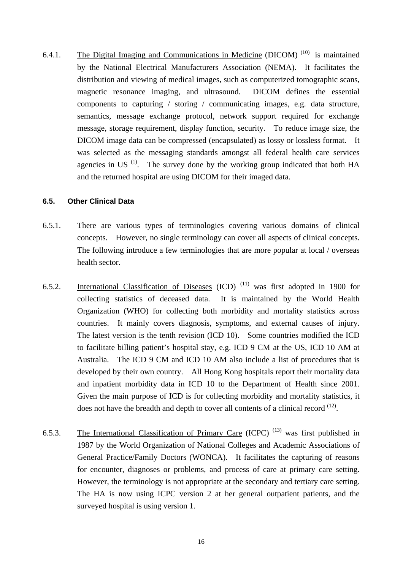<span id="page-15-0"></span>6.4.1. The Digital Imaging and Communications in Medicine (DICOM)<sup> $(10)$ </sup> is maintained by the National Electrical Manufacturers Association (NEMA). It facilitates the distribution and viewing of medical images, such as computerized tomographic scans, magnetic resonance imaging, and ultrasound. DICOM defines the essential components to capturing / storing / communicating images, e.g. data structure, semantics, message exchange protocol, network support required for exchange message, storage requirement, display function, security. To reduce image size, the DICOM image data can be compressed (encapsulated) as lossy or lossless format. It was selected as the messaging standards amongst all federal health care services agencies in US $^{(1)}$ . The survey done by the working group indicated that both HA and the returned hospital are using DICOM for their imaged data.

#### **6.5. Other Clinical Data**

- 6.5.1. There are various types of terminologies covering various domains of clinical concepts. However, no single terminology can cover all aspects of clinical concepts. The following introduce a few terminologies that are more popular at local / overseas health sector.
- 6.5.2. International Classification of Diseases (ICD)<sup>(11)</sup> was first adopted in 1900 for collecting statistics of deceased data. It is maintained by the World Health Organization (WHO) for collecting both morbidity and mortality statistics across countries. It mainly covers diagnosis, symptoms, and external causes of injury. The latest version is the tenth revision (ICD 10). Some countries modified the ICD to facilitate billing patient's hospital stay, e.g. ICD 9 CM at the US, ICD 10 AM at Australia. The ICD 9 CM and ICD 10 AM also include a list of procedures that is developed by their own country. All Hong Kong hospitals report their mortality data and inpatient morbidity data in ICD 10 to the Department of Health since 2001. Given the main purpose of ICD is for collecting morbidity and mortality statistics, it does not have the breadth and depth to cover all contents of a clinical record <sup>(12)</sup>.
- 6.5.3. The International Classification of Primary Care (ICPC)<sup>(13)</sup> was first published in 1987 by the World Organization of National Colleges and Academic Associations of General Practice/Family Doctors (WONCA). It facilitates the capturing of reasons for encounter, diagnoses or problems, and process of care at primary care setting. However, the terminology is not appropriate at the secondary and tertiary care setting. The HA is now using ICPC version 2 at her general outpatient patients, and the surveyed hospital is using version 1.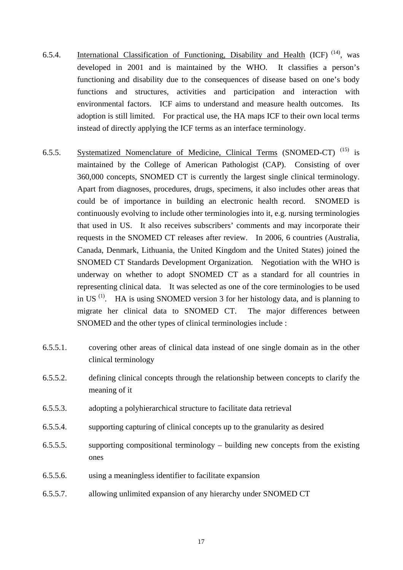- 6.5.4. International Classification of Functioning, Disability and Health (ICF)  $(14)$ , was developed in 2001 and is maintained by the WHO. It classifies a person's functioning and disability due to the consequences of [disease](http://en.wikipedia.org/wiki/Disease) based on one's body functions and structures, activities and participation and interaction with environmental factors. ICF aims to understand and measure health outcomes. Its adoption is still limited. For practical use, the HA maps ICF to their own local terms instead of directly applying the ICF terms as an interface terminology.
- 6.5.5. Systematized Nomenclature of Medicine, Clinical Terms (SNOMED-CT)<sup>(15)</sup> is maintained by the College of American Pathologist (CAP). Consisting of over 360,000 concepts, SNOMED CT is currently the largest single clinical terminology. Apart from diagnoses, procedures, drugs, specimens, it also includes other areas that could be of importance in building an electronic health record. SNOMED is continuously evolving to include other terminologies into it, e.g. nursing terminologies that used in US. It also receives subscribers' comments and may incorporate their requests in the SNOMED CT releases after review. In 2006, 6 countries (Australia, Canada, Denmark, Lithuania, the United Kingdom and the United States) joined the SNOMED CT Standards Development Organization. Negotiation with the WHO is underway on whether to adopt SNOMED CT as a standard for all countries in representing clinical data. It was selected as one of the core terminologies to be used in US (1). HA is using SNOMED version 3 for her histology data, and is planning to migrate her clinical data to SNOMED CT. The major differences between SNOMED and the other types of clinical terminologies include :
- 6.5.5.1. covering other areas of clinical data instead of one single domain as in the other clinical terminology
- 6.5.5.2. defining clinical concepts through the relationship between concepts to clarify the meaning of it
- 6.5.5.3. adopting a polyhierarchical structure to facilitate data retrieval
- 6.5.5.4. supporting capturing of clinical concepts up to the granularity as desired
- 6.5.5.5. supporting compositional terminology building new concepts from the existing ones
- 6.5.5.6. using a meaningless identifier to facilitate expansion
- 6.5.5.7. allowing unlimited expansion of any hierarchy under SNOMED CT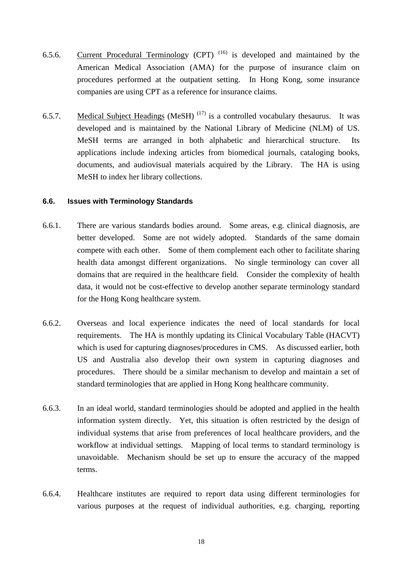- <span id="page-17-0"></span>6.5.6. Current Procedural Terminology (CPT) (16) is developed and maintained by the American Medical Association (AMA) for the purpose of insurance claim on procedures performed at the outpatient setting. In Hong Kong, some insurance companies are using CPT as a reference for insurance claims.
- 6.5.7. Medical Subject Headings (MeSH)<sup> $(17)$ </sup> is a controlled vocabulary thesaurus. It was developed and is maintained by the National Library of Medicine (NLM) of US. MeSH terms are arranged in both alphabetic and hierarchical structure. Its applications include indexing articles from biomedical journals, cataloging books, documents, and audiovisual materials acquired by the Library. The HA is using MeSH to index her library collections.

#### **6.6. Issues with Terminology Standards**

- 6.6.1. There are various standards bodies around. Some areas, e.g. clinical diagnosis, are better developed. Some are not widely adopted. Standards of the same domain compete with each other. Some of them complement each other to facilitate sharing health data amongst different organizations. No single terminology can cover all domains that are required in the healthcare field. Consider the complexity of health data, it would not be cost-effective to develop another separate terminology standard for the Hong Kong healthcare system.
- 6.6.2. Overseas and local experience indicates the need of local standards for local requirements. The HA is monthly updating its Clinical Vocabulary Table (HACVT) which is used for capturing diagnoses/procedures in CMS. As discussed earlier, both US and Australia also develop their own system in capturing diagnoses and procedures. There should be a similar mechanism to develop and maintain a set of standard terminologies that are applied in Hong Kong healthcare community.
- 6.6.3. In an ideal world, standard terminologies should be adopted and applied in the health information system directly. Yet, this situation is often restricted by the design of individual systems that arise from preferences of local healthcare providers, and the workflow at individual settings. Mapping of local terms to standard terminology is unavoidable. Mechanism should be set up to ensure the accuracy of the mapped terms.
- 6.6.4. Healthcare institutes are required to report data using different terminologies for various purposes at the request of individual authorities, e.g. charging, reporting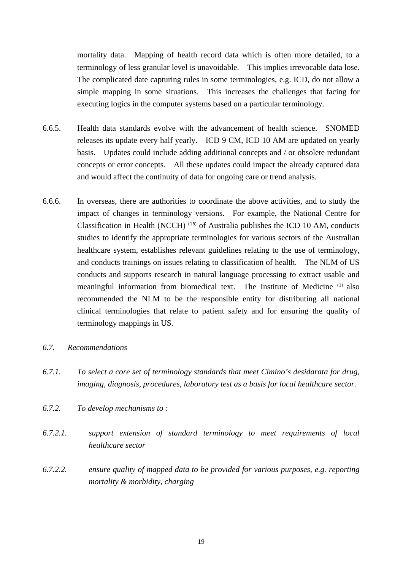mortality data. Mapping of health record data which is often more detailed, to a terminology of less granular level is unavoidable. This implies irrevocable data lose. The complicated date capturing rules in some terminologies, e.g. ICD, do not allow a simple mapping in some situations. This increases the challenges that facing for executing logics in the computer systems based on a particular terminology.

- 6.6.5. Health data standards evolve with the advancement of health science. SNOMED releases its update every half yearly. ICD 9 CM, ICD 10 AM are updated on yearly basis. Updates could include adding additional concepts and / or obsolete redundant concepts or error concepts. All these updates could impact the already captured data and would affect the continuity of data for ongoing care or trend analysis.
- 6.6.6. In overseas, there are authorities to coordinate the above activities, and to study the impact of changes in terminology versions. For example, the National Centre for Classification in Health (NCCH) (18) of Australia publishes the ICD 10 AM, conducts studies to identify the appropriate terminologies for various sectors of the Australian healthcare system, establishes relevant guidelines relating to the use of terminology, and conducts trainings on issues relating to classification of health. The NLM of US conducts and supports research in natural language processing to extract usable and meaningful information from biomedical text. The Institute of Medicine (1) also recommended the NLM to be the responsible entity for distributing all national clinical terminologies that relate to patient safety and for ensuring the quality of terminology mappings in US.
- *6.7. Recommendations*
- *6.7.1. To select a core set of terminology standards that meet Cimino's desidarata for drug, imaging, diagnosis, procedures, laboratory test as a basis for local healthcare sector.*
- *6.7.2. To develop mechanisms to :*
- *6.7.2.1. support extension of standard terminology to meet requirements of local healthcare sector*
- *6.7.2.2. ensure quality of mapped data to be provided for various purposes, e.g. reporting mortality & morbidity, charging*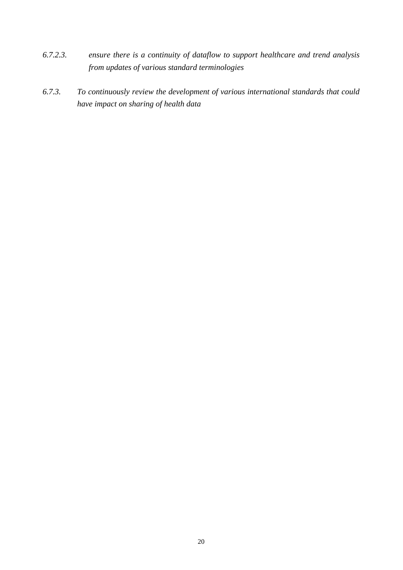- *6.7.2.3. ensure there is a continuity of dataflow to support healthcare and trend analysis from updates of various standard terminologies*
- *6.7.3. To continuously review the development of various international standards that could have impact on sharing of health data*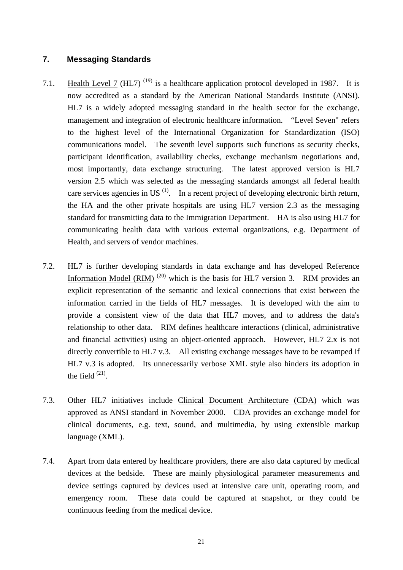## <span id="page-20-0"></span>**7. Messaging Standards**

- 7.1. Health Level 7 (HL7)<sup>(19)</sup> is a healthcare application protocol developed in 1987. It is now accredited as a standard by the American National Standards Institute (ANSI). HL7 is a widely adopted messaging standard in the health sector for the exchange, management and integration of electronic healthcare information. "Level Seven" refers to the highest level of the [International Organization for Standardization](http://www.iso.org/) (ISO) communications model. The seventh level supports such functions as security checks, participant identification, availability checks, exchange mechanism negotiations and, most importantly, data exchange structuring. The latest approved version is HL7 version 2.5 which was selected as the messaging standards amongst all federal health care services agencies in US $^{(1)}$ . In a recent project of developing electronic birth return, the HA and the other private hospitals are using HL7 version 2.3 as the messaging standard for transmitting data to the Immigration Department. HA is also using HL7 for communicating health data with various external organizations, e.g. Department of Health, and servers of vendor machines.
- 7.2. HL7 is further developing standards in data exchange and has developed Reference Information Model (RIM)<sup>(20)</sup> which is the basis for HL7 version 3. RIM provides an explicit representation of the semantic and lexical connections that exist between the information carried in the fields of HL7 messages. It is developed with the aim to provide a consistent view of the data that HL7 moves, and to address the data's relationship to other data. RIM defines healthcare interactions (clinical, administrative and financial activities) using an object-oriented approach. However, HL7 2.x is not directly convertible to HL7 v.3. All existing exchange messages have to be revamped if HL7 v.3 is adopted. Its unnecessarily verbose XML style also hinders its adoption in the field  $(21)$ .
- 7.3. Other HL7 initiatives include Clinical Document Architecture (CDA) which was approved as ANSI standard in November 2000. CDA provides an exchange model for clinical documents, e.g. text, sound, and multimedia, by using extensible markup language (XML).
- 7.4. Apart from data entered by healthcare providers, there are also data captured by medical devices at the bedside. These are mainly physiological parameter measurements and device settings captured by devices used at intensive care unit, operating room, and emergency room. These data could be captured at snapshot, or they could be continuous feeding from the medical device.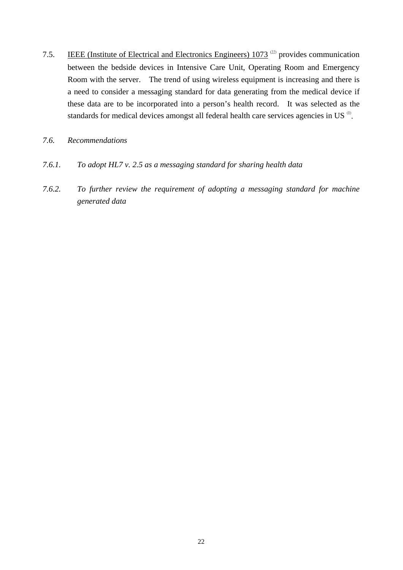- 7.5. IEEE (Institute of Electrical and Electronics Engineers) 1073<sup>(22)</sup> provides communication between the bedside devices in Intensive Care Unit, Operating Room and Emergency Room with the server. The trend of using wireless equipment is increasing and there is a need to consider a messaging standard for data generating from the medical device if these data are to be incorporated into a person's health record. It was selected as the standards for medical devices amongst all federal health care services agencies in US<sup>(1)</sup>.
- *7.6. Recommendations*
- *7.6.1. To adopt HL7 v. 2.5 as a messaging standard for sharing health data*
- *7.6.2. To further review the requirement of adopting a messaging standard for machine generated data*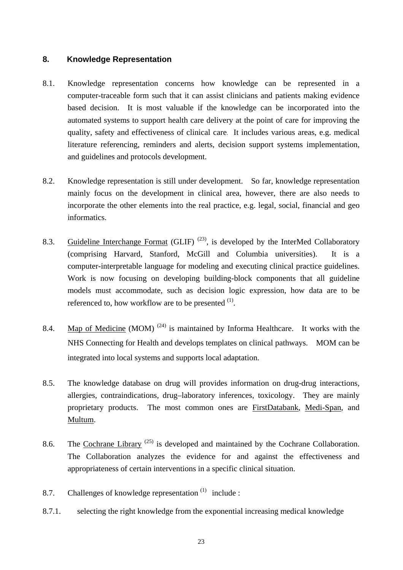## <span id="page-22-0"></span>**8. Knowledge Representation**

- 8.1. Knowledge representation concerns how knowledge can be represented in a computer-traceable form such that it can assist clinicians and patients making evidence based decision. It is most valuable if the knowledge can be incorporated into the automated systems to support health care delivery at the point of care for improving the quality, safety and effectiveness of clinical care. It includes various areas, e.g. medical literature referencing, reminders and alerts, decision support systems implementation, and guidelines and protocols development.
- 8.2. Knowledge representation is still under development. So far, knowledge representation mainly focus on the development in clinical area, however, there are also needs to incorporate the other elements into the real practice, e.g. legal, social, financial and geo informatics.
- 8.3. Guideline Interchange Format (GLIF)<sup>(23)</sup>, is developed by the InterMed Collaboratory (comprising Harvard, Stanford, McGill and Columbia universities). It is a computer-interpretable language for modeling and executing clinical practice guidelines. Work is now focusing on developing building-block components that all guideline models must accommodate, such as decision logic expression, how data are to be referenced to, how workflow are to be presented  $<sup>(1)</sup>$ .</sup>
- 8.4. Map of Medicine (MOM)<sup>(24)</sup> is maintained by Informa Healthcare. It works with the NHS Connecting for Health and develops templates on clinical pathways. MOM can be integrated into local systems and supports local adaptation.
- 8.5. The knowledge database on drug will provides information on drug-drug interactions, allergies, contraindications, drug–laboratory inferences, toxicology. They are mainly proprietary products. The most common ones are FirstDatabank, Medi-Span, and Multum.
- 8.6. The Cochrane Library<sup>(25)</sup> is developed and maintained by the Cochrane Collaboration. The Collaboration analyzes the evidence for and against the effectiveness and appropriateness of certain interventions in a specific clinical situation.
- 8.7. Challenges of knowledge representation  $(1)$  include :
- 8.7.1. selecting the right knowledge from the exponential increasing medical knowledge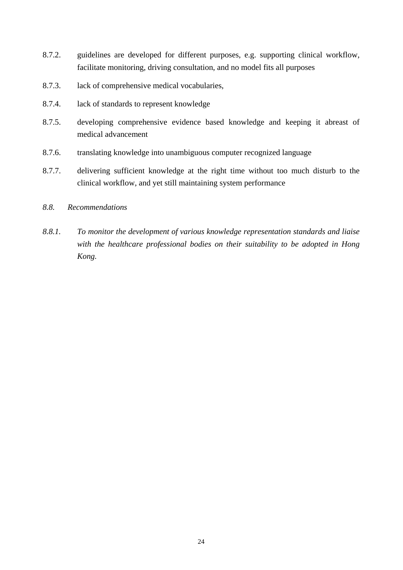- 8.7.2. guidelines are developed for different purposes, e.g. supporting clinical workflow, facilitate monitoring, driving consultation, and no model fits all purposes
- 8.7.3. lack of comprehensive medical vocabularies,
- 8.7.4. lack of standards to represent knowledge
- 8.7.5. developing comprehensive evidence based knowledge and keeping it abreast of medical advancement
- 8.7.6. translating knowledge into unambiguous computer recognized language
- 8.7.7. delivering sufficient knowledge at the right time without too much disturb to the clinical workflow, and yet still maintaining system performance
- *8.8. Recommendations*
- *8.8.1. To monitor the development of various knowledge representation standards and liaise with the healthcare professional bodies on their suitability to be adopted in Hong Kong.*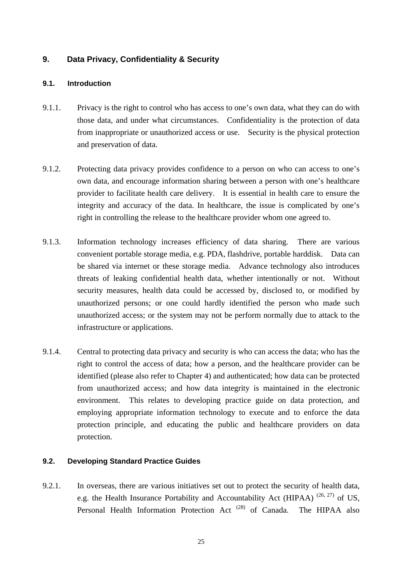## <span id="page-24-0"></span>**9. Data Privacy, Confidentiality & Security**

## **9.1. Introduction**

- 9.1.1. Privacy is the right to control who has access to one's own data, what they can do with those data, and under what circumstances. Confidentiality is the protection of data from inappropriate or unauthorized access or use. Security is the physical protection and preservation of data.
- 9.1.2. Protecting data privacy provides confidence to a person on who can access to one's own data, and encourage information sharing between a person with one's healthcare provider to facilitate health care delivery. It is essential in health care to ensure the integrity and accuracy of the data. In healthcare, the issue is complicated by one's right in controlling the release to the healthcare provider whom one agreed to.
- 9.1.3. Information technology increases efficiency of data sharing. There are various convenient portable storage media, e.g. PDA, flashdrive, portable harddisk. Data can be shared via internet or these storage media. Advance technology also introduces threats of leaking confidential health data, whether intentionally or not. Without security measures, health data could be accessed by, disclosed to, or modified by unauthorized persons; or one could hardly identified the person who made such unauthorized access; or the system may not be perform normally due to attack to the infrastructure or applications.
- 9.1.4. Central to protecting data privacy and security is who can access the data; who has the right to control the access of data; how a person, and the healthcare provider can be identified (please also refer to Chapter 4) and authenticated; how data can be protected from unauthorized access; and how data integrity is maintained in the electronic environment. This relates to developing practice guide on data protection, and employing appropriate information technology to execute and to enforce the data protection principle, and educating the public and healthcare providers on data protection.

#### **9.2. Developing Standard Practice Guides**

9.2.1. In overseas, there are various initiatives set out to protect the security of health data, e.g. the Health Insurance Portability and Accountability Act (HIPAA) <sup>(26, 27)</sup> of US, Personal Health Information Protection Act<sup>(28)</sup> of Canada. The HIPAA also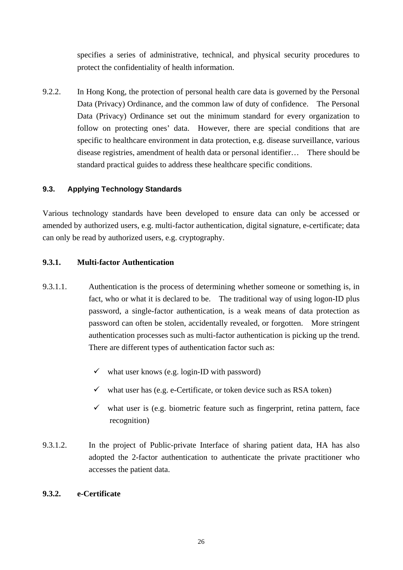<span id="page-25-0"></span>specifies a series of administrative, technical, and physical security procedures to protect the confidentiality of health information.

9.2.2. In Hong Kong, the protection of personal health care data is governed by the Personal Data (Privacy) Ordinance, and the common law of duty of confidence. The Personal Data (Privacy) Ordinance set out the minimum standard for every organization to follow on protecting ones' data. However, there are special conditions that are specific to healthcare environment in data protection, e.g. disease surveillance, various disease registries, amendment of health data or personal identifier… There should be standard practical guides to address these healthcare specific conditions.

## **9.3. Applying Technology Standards**

Various technology standards have been developed to ensure data can only be accessed or amended by authorized users, e.g. multi-factor authentication, digital signature, e-certificate; data can only be read by authorized users, e.g. cryptography.

#### **9.3.1. Multi-factor Authentication**

- 9.3.1.1. Authentication is the process of determining whether someone or something is, in fact, who or what it is declared to be. The traditional way of using logon-ID plus password, a single-factor authentication, is a weak means of data protection as password can often be stolen, accidentally revealed, or forgotten. More stringent authentication processes such as multi-factor authentication is picking up the trend. There are different types of authentication factor such as:
	- $\checkmark$  what user knows (e.g. login-ID with password)
	- $\checkmark$  what user has (e.g. e-Certificate, or token device such as RSA token)
	- $\checkmark$  what user is (e.g. biometric feature such as fingerprint, retina pattern, face recognition)
- 9.3.1.2. In the project of Public-private Interface of sharing patient data, HA has also adopted the 2-factor authentication to authenticate the private practitioner who accesses the patient data.

## **9.3.2. e-Certificate**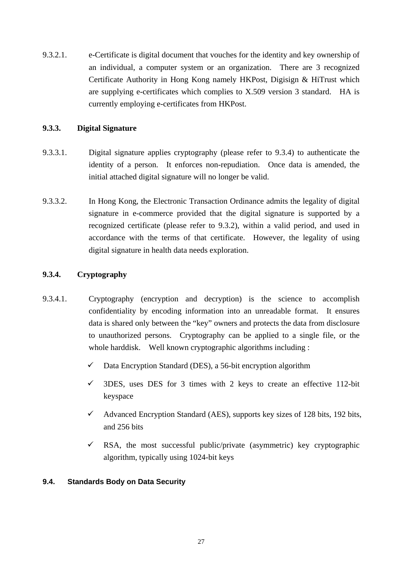<span id="page-26-0"></span>9.3.2.1. e-Certificate is digital document that vouches for the identity and key ownership of an individual, a computer system or an organization. There are 3 recognized Certificate Authority in Hong Kong namely HKPost, Digisign & HiTrust which are supplying e-certificates which complies to X.509 version 3 standard. HA is currently employing e-certificates from HKPost.

## **9.3.3. Digital Signature**

- 9.3.3.1. Digital signature applies cryptography (please refer to 9.3.4) to authenticate the identity of a person. It enforces non-repudiation. Once data is amended, the initial attached digital signature will no longer be valid.
- 9.3.3.2. In Hong Kong, the Electronic Transaction Ordinance admits the legality of digital signature in e-commerce provided that the digital signature is supported by a recognized certificate (please refer to 9.3.2), within a valid period, and used in accordance with the terms of that certificate. However, the legality of using digital signature in health data needs exploration.

## **9.3.4. Cryptography**

- 9.3.4.1. Cryptography (encryption and decryption) is the science to accomplish confidentiality by encoding information into an unreadable format. It ensures data is shared only between the "key" owners and protects the data from disclosure to unauthorized persons. Cryptography can be applied to a single file, or the whole harddisk. Well known cryptographic algorithms including :
	- $\checkmark$  Data Encryption Standard (DES), a 56-bit encryption algorithm
	- $\checkmark$  3DES, uses DES for 3 times with 2 keys to create an effective 112-bit keyspace
	- $\checkmark$  Advanced Encryption Standard (AES), supports key sizes of 128 bits, 192 bits, and 256 bits
	- $\checkmark$  RSA, the most successful public/private (asymmetric) key cryptographic algorithm, typically using 1024-bit keys

#### **9.4. Standards Body on Data Security**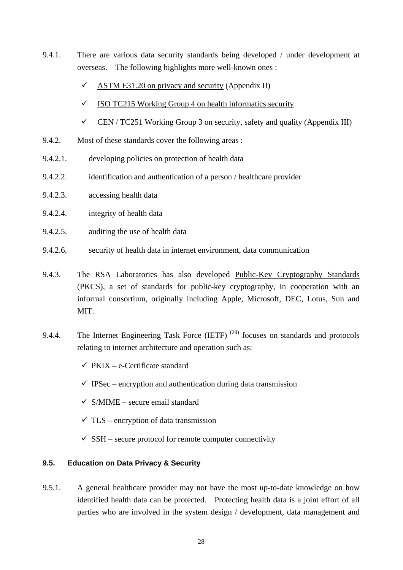- <span id="page-27-0"></span>9.4.1. There are various data security standards being developed / under development at overseas. The following highlights more well-known ones :
	- $\checkmark$  ASTM E31.20 on privacy and security (Appendix II)
	- $\checkmark$  ISO TC215 Working Group 4 on health informatics security
	- $\checkmark$  CEN / TC251 Working Group 3 on security, safety and quality (Appendix III)
- 9.4.2. Most of these standards cover the following areas :
- 9.4.2.1. developing policies on protection of health data
- 9.4.2.2. identification and authentication of a person / healthcare provider
- 9.4.2.3. accessing health data
- 9.4.2.4. integrity of health data
- 9.4.2.5. auditing the use of health data
- 9.4.2.6. security of health data in internet environment, data communication
- 9.4.3. The RSA Laboratories has also developed Public-Key Cryptography Standards (PKCS), a set of standards for public-key cryptography, in cooperation with an informal consortium, originally including Apple, Microsoft, DEC, Lotus, Sun and MIT.
- 9.4.4. The Internet Engineering Task Force (IETF)<sup>(29)</sup> focuses on standards and protocols relating to internet architecture and operation such as:
	- $\checkmark$  PKIX e-Certificate standard
	- $\checkmark$  IPSec encryption and authentication during data transmission
	- $\checkmark$  S/MIME secure email standard
	- $\checkmark$  TLS encryption of data transmission
	- $\checkmark$  SSH secure protocol for remote computer connectivity

### **9.5. Education on Data Privacy & Security**

9.5.1. A general healthcare provider may not have the most up-to-date knowledge on how identified health data can be protected. Protecting health data is a joint effort of all parties who are involved in the system design / development, data management and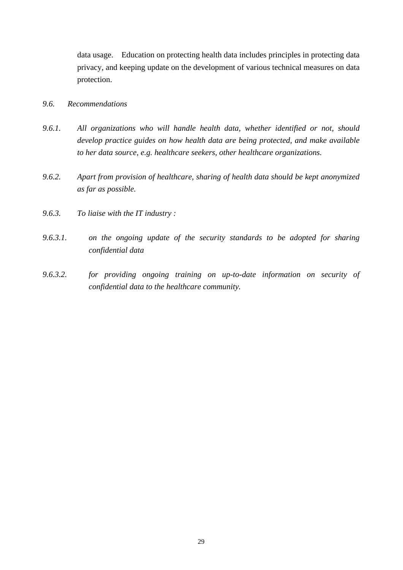data usage. Education on protecting health data includes principles in protecting data privacy, and keeping update on the development of various technical measures on data protection.

## *9.6. Recommendations*

- *9.6.1. All organizations who will handle health data, whether identified or not, should develop practice guides on how health data are being protected, and make available to her data source, e.g. healthcare seekers, other healthcare organizations.*
- *9.6.2. Apart from provision of healthcare, sharing of health data should be kept anonymized as far as possible.*
- *9.6.3. To liaise with the IT industry :*
- *9.6.3.1. on the ongoing update of the security standards to be adopted for sharing confidential data*
- *9.6.3.2. for providing ongoing training on up-to-date information on security of confidential data to the healthcare community.*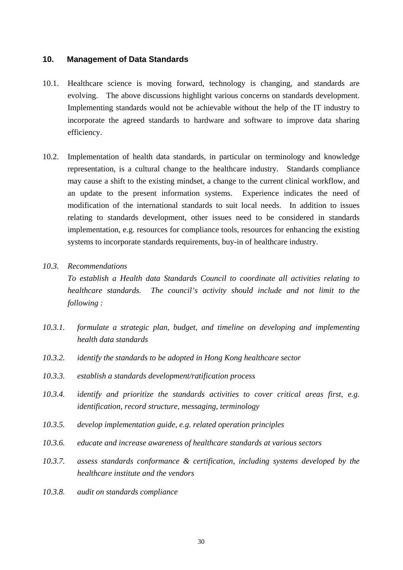#### <span id="page-29-0"></span>**10. Management of Data Standards**

- 10.1. Healthcare science is moving forward, technology is changing, and standards are evolving. The above discussions highlight various concerns on standards development. Implementing standards would not be achievable without the help of the IT industry to incorporate the agreed standards to hardware and software to improve data sharing efficiency.
- 10.2. Implementation of health data standards, in particular on terminology and knowledge representation, is a cultural change to the healthcare industry. Standards compliance may cause a shift to the existing mindset, a change to the current clinical workflow, and an update to the present information systems. Experience indicates the need of modification of the international standards to suit local needs. In addition to issues relating to standards development, other issues need to be considered in standards implementation, e.g. resources for compliance tools, resources for enhancing the existing systems to incorporate standards requirements, buy-in of healthcare industry.
- *10.3. Recommendations*

*To establish a Health data Standards Council to coordinate all activities relating to healthcare standards. The council's activity should include and not limit to the following :* 

- *10.3.1. formulate a strategic plan, budget, and timeline on developing and implementing health data standards*
- *10.3.2. identify the standards to be adopted in Hong Kong healthcare sector*
- *10.3.3. establish a standards development/ratification process*
- *10.3.4. identify and prioritize the standards activities to cover critical areas first, e.g. identification, record structure, messaging, terminology*
- *10.3.5. develop implementation guide, e.g. related operation principles*
- *10.3.6. educate and increase awareness of healthcare standards at various sectors*
- *10.3.7. assess standards conformance & certification, including systems developed by the healthcare institute and the vendors*
- *10.3.8. audit on standards compliance*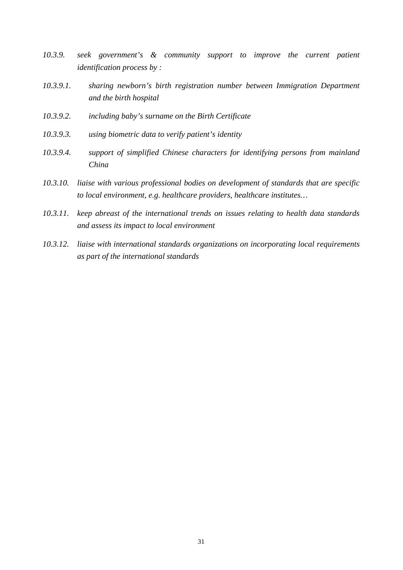- *10.3.9. seek government's & community support to improve the current patient identification process by :*
- *10.3.9.1. sharing newborn's birth registration number between Immigration Department and the birth hospital*
- *10.3.9.2. including baby's surname on the Birth Certificate*
- *10.3.9.3. using biometric data to verify patient's identity*
- *10.3.9.4. support of simplified Chinese characters for identifying persons from mainland China*
- *10.3.10. liaise with various professional bodies on development of standards that are specific to local environment, e.g. healthcare providers, healthcare institutes…*
- *10.3.11. keep abreast of the international trends on issues relating to health data standards and assess its impact to local environment*
- *10.3.12. liaise with international standards organizations on incorporating local requirements as part of the international standards*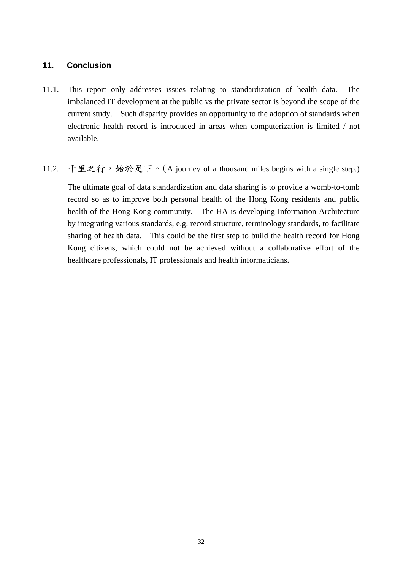## <span id="page-31-0"></span>**11. Conclusion**

- 11.1. This report only addresses issues relating to standardization of health data. The imbalanced IT development at the public vs the private sector is beyond the scope of the current study. Such disparity provides an opportunity to the adoption of standards when electronic health record is introduced in areas when computerization is limited / not available.
- 11.2. 千里之行,始於足下。([A journey of a thousand miles begins with a single step.\)](http://www.quotationspage.com/quote/24004.html)

The ultimate goal of data standardization and data sharing is to provide a womb-to-tomb record so as to improve both personal health of the Hong Kong residents and public health of the Hong Kong community. The HA is developing Information Architecture by integrating various standards, e.g. record structure, terminology standards, to facilitate sharing of health data. This could be the first step to build the health record for Hong Kong citizens, which could not be achieved without a collaborative effort of the healthcare professionals, IT professionals and health informaticians.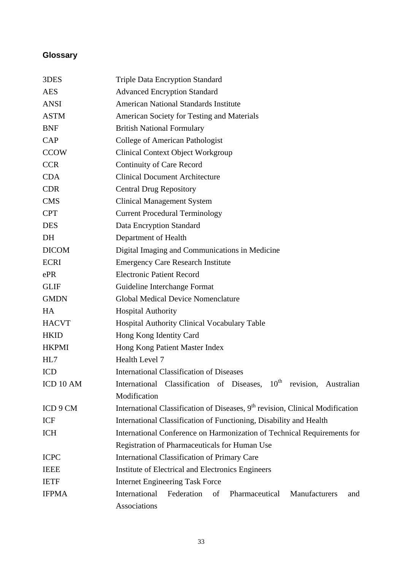## <span id="page-32-0"></span>**Glossary**

| 3DES         | <b>Triple Data Encryption Standard</b>                                                    |  |  |  |
|--------------|-------------------------------------------------------------------------------------------|--|--|--|
| <b>AES</b>   | <b>Advanced Encryption Standard</b>                                                       |  |  |  |
| <b>ANSI</b>  | <b>American National Standards Institute</b>                                              |  |  |  |
| <b>ASTM</b>  | American Society for Testing and Materials                                                |  |  |  |
| <b>BNF</b>   | <b>British National Formulary</b>                                                         |  |  |  |
| CAP          | College of American Pathologist                                                           |  |  |  |
| <b>CCOW</b>  | <b>Clinical Context Object Workgroup</b>                                                  |  |  |  |
| <b>CCR</b>   | <b>Continuity of Care Record</b>                                                          |  |  |  |
| <b>CDA</b>   | <b>Clinical Document Architecture</b>                                                     |  |  |  |
| <b>CDR</b>   | <b>Central Drug Repository</b>                                                            |  |  |  |
| <b>CMS</b>   | <b>Clinical Management System</b>                                                         |  |  |  |
| <b>CPT</b>   | <b>Current Procedural Terminology</b>                                                     |  |  |  |
| <b>DES</b>   | Data Encryption Standard                                                                  |  |  |  |
| DH           | Department of Health                                                                      |  |  |  |
| <b>DICOM</b> | Digital Imaging and Communications in Medicine                                            |  |  |  |
| <b>ECRI</b>  | <b>Emergency Care Research Institute</b>                                                  |  |  |  |
| ePR          | <b>Electronic Patient Record</b>                                                          |  |  |  |
| <b>GLIF</b>  | Guideline Interchange Format                                                              |  |  |  |
| <b>GMDN</b>  | <b>Global Medical Device Nomenclature</b>                                                 |  |  |  |
| HA           | <b>Hospital Authority</b>                                                                 |  |  |  |
| <b>HACVT</b> | Hospital Authority Clinical Vocabulary Table                                              |  |  |  |
| <b>HKID</b>  | Hong Kong Identity Card                                                                   |  |  |  |
| <b>HKPMI</b> | Hong Kong Patient Master Index                                                            |  |  |  |
| HL7          | Health Level 7                                                                            |  |  |  |
| <b>ICD</b>   | <b>International Classification of Diseases</b>                                           |  |  |  |
| ICD 10 AM    | International Classification of Diseases, 10 <sup>th</sup><br>revision, Australian        |  |  |  |
|              | Modification                                                                              |  |  |  |
| ICD 9 CM     | International Classification of Diseases, 9 <sup>th</sup> revision, Clinical Modification |  |  |  |
| ICF          | International Classification of Functioning, Disability and Health                        |  |  |  |
| <b>ICH</b>   | International Conference on Harmonization of Technical Requirements for                   |  |  |  |
|              | Registration of Pharmaceuticals for Human Use                                             |  |  |  |
| <b>ICPC</b>  | <b>International Classification of Primary Care</b>                                       |  |  |  |
| <b>IEEE</b>  | Institute of Electrical and Electronics Engineers                                         |  |  |  |
| <b>IETF</b>  | <b>Internet Engineering Task Force</b>                                                    |  |  |  |
| <b>IFPMA</b> | International<br>Federation<br>of<br>Pharmaceutical<br>Manufacturers<br>and               |  |  |  |
|              | Associations                                                                              |  |  |  |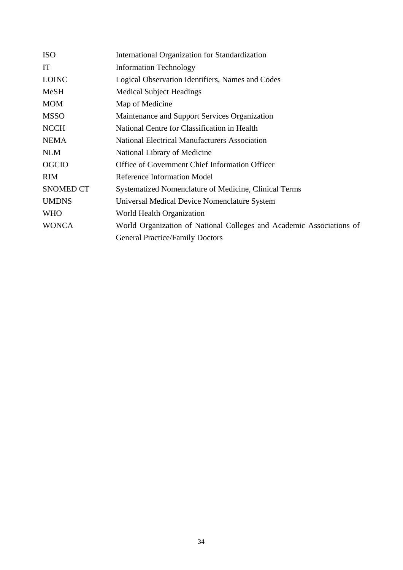| <b>ISO</b>       | International Organization for Standardization                       |  |  |
|------------------|----------------------------------------------------------------------|--|--|
| IT               | <b>Information Technology</b>                                        |  |  |
| <b>LOINC</b>     | Logical Observation Identifiers, Names and Codes                     |  |  |
| <b>MeSH</b>      | <b>Medical Subject Headings</b>                                      |  |  |
| <b>MOM</b>       | Map of Medicine                                                      |  |  |
| <b>MSSO</b>      | Maintenance and Support Services Organization                        |  |  |
| <b>NCCH</b>      | National Centre for Classification in Health                         |  |  |
| <b>NEMA</b>      | <b>National Electrical Manufacturers Association</b>                 |  |  |
| <b>NLM</b>       | National Library of Medicine                                         |  |  |
| <b>OGCIO</b>     | Office of Government Chief Information Officer                       |  |  |
| <b>RIM</b>       | Reference Information Model                                          |  |  |
| <b>SNOMED CT</b> | Systematized Nomenclature of Medicine, Clinical Terms                |  |  |
| <b>UMDNS</b>     | Universal Medical Device Nomenclature System                         |  |  |
| <b>WHO</b>       | World Health Organization                                            |  |  |
| <b>WONCA</b>     | World Organization of National Colleges and Academic Associations of |  |  |
|                  | <b>General Practice/Family Doctors</b>                               |  |  |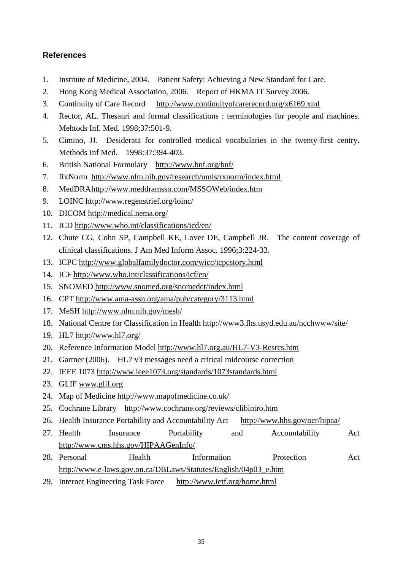## <span id="page-34-0"></span>**References**

- 1. Institute of Medicine, 2004. Patient Safety: Achieving a New Standard for Care.
- 2. Hong Kong Medical Association, 2006. Report of HKMA IT Survey 2006.
- 3. Continuity of Care Record <http://www.continuityofcarerecord.org/x6169.xml>
- 4. Rector, AL. Thesauri and formal classifications : terminologies for people and machines. Mehtods Inf. Med. 1998;37:501-9.
- 5. Cimino, JJ. Desiderata for controlled medical vocabularies in the twenty-first centry. Methods Inf Med. 1998:37:394-403.
- 6. British National Formulary <http://www.bnf.org/bnf/>
- 7. RxNorm <http://www.nlm.nih.gov/research/umls/rxnorm/index.html>
- 8. MedDRA<http://www.meddramsso.com/MSSOWeb/index.htm>
- 9. LOINC <http://www.regenstrief.org/loinc/>
- 10. DICOM <http://medical.nema.org/>
- 11. ICD <http://www.who.int/classifications/icd/en/>
- 12. Chute CG, Cohn SP, Campbell KE, Lover DE, Campbell JR. The content coverage of clinical classifications. J Am Med Inform Assoc. 1996;3:224-33.
- 13. ICPC <http://www.globalfamilydoctor.com/wicc/icpcstory.html>
- 14. ICF <http://www.who.int/classifications/icf/en/>
- 15. SNOMED <http://www.snomed.org/snomedct/index.html>
- 16. CPT <http://www.ama-assn.org/ama/pub/category/3113.html>
- 17. MeSH<http://www.nlm.nih.gov/mesh/>
- 18. National Centre for Classification in Health <http://www3.fhs.usyd.edu.au/ncchwww/site/>
- 19. HL7 <http://www.hl7.org/>
- 20. Reference Information Model<http://www.hl7.org.au/HL7-V3-Resrcs.htm>
- 21. Gartner (2006). HL7 v3 messages need a critical midcourse correction
- 22. IEEE 1073 <http://www.ieee1073.org/standards/1073standards.html>
- 23. GLIF [www.glif.org](http://www.glif.org/)
- 24. Map of Medicine<http://www.mapofmedicine.co.uk/>
- 25. Cochrane Library <http://www.cochrane.org/reviews/clibintro.htm>
- 26. Health Insurance Portability and Accountability Act <http://www.hhs.gov/ocr/hipaa/>
- 27. Health Insurance Portability and Accountability Act <http://www.cms.hhs.gov/HIPAAGenInfo/>
- 28. Personal **Health** Information Protection Act [http://www.e-laws.gov.on.ca/DBLaws/Statutes/English/04p03\\_e.htm](http://www.e-laws.gov.on.ca/DBLaws/Statutes/English/04p03_e.htm)
- 29. Internet Engineering Task Force <http://www.ietf.org/home.html>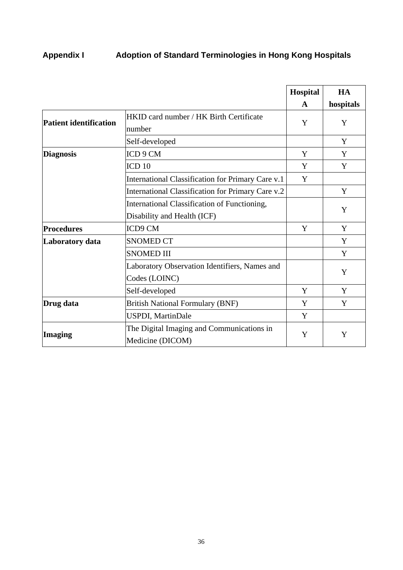# <span id="page-35-0"></span>**Appendix I Adoption of Standard Terminologies in Hong Kong Hospitals**

|                        |                                                   | Hospital | HA        |
|------------------------|---------------------------------------------------|----------|-----------|
|                        |                                                   | A        | hospitals |
| Patient identification | HKID card number / HK Birth Certificate           | Y        | Y         |
|                        | number                                            |          |           |
|                        | Self-developed                                    |          | Y         |
| <b>Diagnosis</b>       | ICD 9 CM                                          | Y        | Y         |
|                        | ICD <sub>10</sub>                                 | Y        | Y         |
|                        | International Classification for Primary Care v.1 | Y        |           |
|                        | International Classification for Primary Care v.2 |          | Y         |
|                        | International Classification of Functioning,      |          | Y         |
|                        | Disability and Health (ICF)                       |          |           |
| <b>Procedures</b>      | ICD9 CM                                           | Y        | Y         |
| Laboratory data        | <b>SNOMED CT</b>                                  |          | Y         |
|                        | <b>SNOMED III</b>                                 |          | Y         |
|                        | Laboratory Observation Identifiers, Names and     |          | Y         |
|                        | Codes (LOINC)                                     |          |           |
|                        | Self-developed                                    | Y        | Y         |
| Drug data              | <b>British National Formulary (BNF)</b>           | Y        | Y         |
|                        | <b>USPDI</b> , MartinDale                         | Y        |           |
|                        | The Digital Imaging and Communications in         | Y        |           |
| Imaging                | Medicine (DICOM)                                  |          | Y         |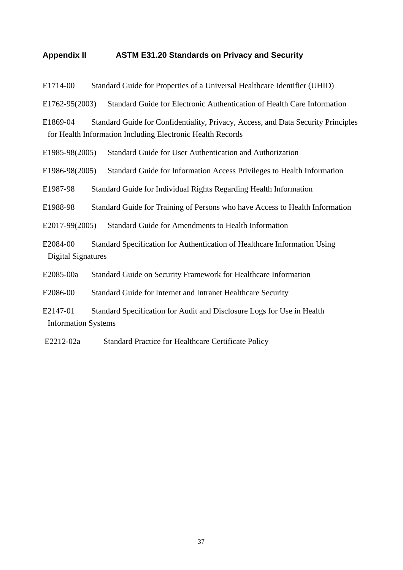### <span id="page-36-0"></span>**Appendix II ASTM E31.20 Standards on Privacy and Security**

[E1714-00 Standard Guide for Properties of a Universal Healthcare Identifier \(UHID\)](http://www.astm.org/cgi-bin/SoftCart.exe/DATABASE.CART/REDLINE_PAGES/E1714.htm?L+mystore+yvxb3721+1153043297)

[E1762-95\(2003\) Standard Guide for Electronic Authentication of Health Care Information](http://www.astm.org/cgi-bin/SoftCart.exe/DATABASE.CART/REDLINE_PAGES/E1762.htm?L+mystore+yvxb3721+1153043297)

[E1869-04 Standard Guide for Confidentiality, Privacy, Access, and Data Security Principles](http://www.astm.org/cgi-bin/SoftCart.exe/DATABASE.CART/REDLINE_PAGES/E1869.htm?L+mystore+yvxb3721+1153043297)  [for Health Information Including Electronic Health Records](http://www.astm.org/cgi-bin/SoftCart.exe/DATABASE.CART/REDLINE_PAGES/E1869.htm?L+mystore+yvxb3721+1153043297)

[E1985-98\(2005\) Standard Guide for User Authentication and Authorization](http://www.astm.org/cgi-bin/SoftCart.exe/DATABASE.CART/REDLINE_PAGES/E1985.htm?L+mystore+yvxb3721+1153043297)

[E1986-98\(2005\) Standard Guide for Information Access Privileges to Health Information](http://www.astm.org/cgi-bin/SoftCart.exe/DATABASE.CART/REDLINE_PAGES/E1986.htm?L+mystore+yvxb3721+1153043297)

[E1987-98 Standard Guide for Individual Rights Regarding Health Information](http://www.astm.org/cgi-bin/SoftCart.exe/DATABASE.CART/REDLINE_PAGES/E1987.htm?L+mystore+yvxb3721+1153043297)

[E1988-98 Standard Guide for Training of Persons who have Access to Health Information](http://www.astm.org/cgi-bin/SoftCart.exe/DATABASE.CART/REDLINE_PAGES/E1988.htm?L+mystore+yvxb3721+1153043297)

[E2017-99\(2005\) Standard Guide for Amendments to Health Information](http://www.astm.org/cgi-bin/SoftCart.exe/DATABASE.CART/REDLINE_PAGES/E2017.htm?L+mystore+yvxb3721+1153043297)

[E2084-00 Standard Specification for Authentication of Healthcare Information Using](http://www.astm.org/cgi-bin/SoftCart.exe/DATABASE.CART/REDLINE_PAGES/E2084.htm?L+mystore+yvxb3721+1153043297)  [Digital Signatures](http://www.astm.org/cgi-bin/SoftCart.exe/DATABASE.CART/REDLINE_PAGES/E2084.htm?L+mystore+yvxb3721+1153043297)

[E2085-00a Standard Guide on Security Framework for Healthcare Information](http://www.astm.org/cgi-bin/SoftCart.exe/DATABASE.CART/REDLINE_PAGES/E2085.htm?L+mystore+yvxb3721+1153043297)

[E2086-00 Standard Guide for Internet and Intranet Healthcare Security](http://www.astm.org/cgi-bin/SoftCart.exe/DATABASE.CART/REDLINE_PAGES/E2086.htm?L+mystore+yvxb3721+1153043297)

[E2147-01 Standard Specification for Audit and Disclosure Logs for Use in Health](http://www.astm.org/cgi-bin/SoftCart.exe/DATABASE.CART/REDLINE_PAGES/E2147.htm?L+mystore+yvxb3721+1153043297)  [Information Systems](http://www.astm.org/cgi-bin/SoftCart.exe/DATABASE.CART/REDLINE_PAGES/E2147.htm?L+mystore+yvxb3721+1153043297)

[E2212-02a Standard Practice for Healthcare Certificate Policy](http://www.astm.org/cgi-bin/SoftCart.exe/DATABASE.CART/REDLINE_PAGES/E2212.htm?L+mystore+yvxb3721+1153043297)